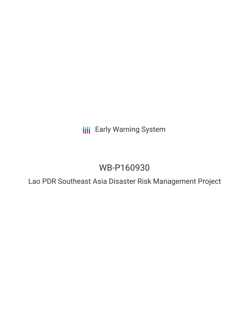**III** Early Warning System

# WB-P160930

Lao PDR Southeast Asia Disaster Risk Management Project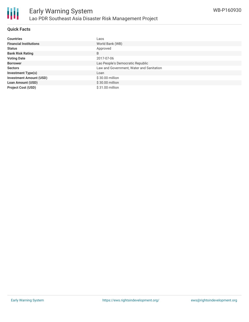

# **Quick Facts**

| <b>Countries</b>               | Laos                                     |
|--------------------------------|------------------------------------------|
| <b>Financial Institutions</b>  | World Bank (WB)                          |
| <b>Status</b>                  | Approved                                 |
| <b>Bank Risk Rating</b>        | B                                        |
| <b>Voting Date</b>             | 2017-07-06                               |
| <b>Borrower</b>                | Lao People's Democratic Republic         |
| <b>Sectors</b>                 | Law and Government, Water and Sanitation |
| <b>Investment Type(s)</b>      | Loan                                     |
| <b>Investment Amount (USD)</b> | $$30.00$ million                         |
| <b>Loan Amount (USD)</b>       | $$30.00$ million                         |
| <b>Project Cost (USD)</b>      | \$31.00 million                          |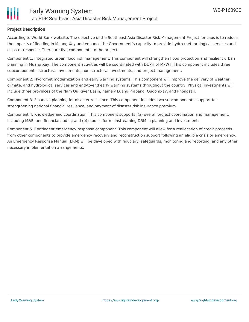

# **Project Description**

According to World Bank website, The objective of the Southeast Asia Disaster Risk Management Project for Laos is to reduce the impacts of flooding in Muang Xay and enhance the Government's capacity to provide hydro-meteorological services and disaster response. There are five components to the project:

Component 1. Integrated urban flood risk management. This component will strengthen flood protection and resilient urban planning in Muang Xay. The component activities will be coordinated with DUPH of MPWT. This component includes three subcomponents: structural investments, non-structural investments, and project management.

Component 2. Hydromet modernization and early warning systems. This component will improve the delivery of weather, climate, and hydrological services and end-to-end early warning systems throughout the country. Physical investments will include three provinces of the Nam Ou River Basin, namely Luang Prabang, Oudomxay, and Phongsali.

Component 3. Financial planning for disaster resilience. This component includes two subcomponents: support for strengthening national financial resilience, and payment of disaster risk insurance premium.

Component 4. Knowledge and coordination. This component supports: (a) overall project coordination and management, including M&E, and financial audits; and (b) studies for mainstreaming DRM in planning and investment.

Component 5. Contingent emergency response component. This component will allow for a reallocation of credit proceeds from other components to provide emergency recovery and reconstruction support following an eligible crisis or emergency. An Emergency Response Manual (ERM) will be developed with fiduciary, safeguards, monitoring and reporting, and any other necessary implementation arrangements.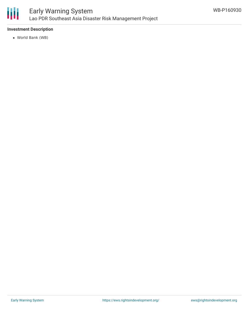

# **Investment Description**

World Bank (WB)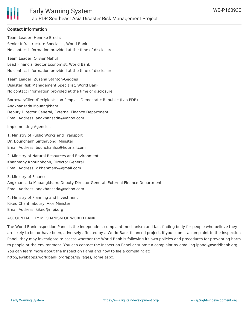

### **Contact Information**

Team Leader: Henrike Brecht Senior Infrastructure Specialist, World Bank No contact information provided at the time of disclosure. Team Leader: Olivier Mahul Lead Financial Sector Economist, World Bank No contact information provided at the time of disclosure. Team Leader: Zuzana Stanton-Geddes Disaster Risk Management Specialist, World Bank No contact information provided at the time of disclosure. Borrower/Client/Recipient: Lao People's Democratic Republic (Lao PDR) Angkhansada Mouangkham Deputy Director General, External Finance Department Email Address: angkhansada@yahoo.com

Implementing Agencies:

1. Ministry of Public Works and Transport Dr. Bounchanh Sinthavong, Minister Email Address: bounchanh.s@hotmail.com

2. Ministry of Natural Resources and Environment Khanmany Khounphonh, Director General Email Address: k.khanmany@gmail.com

3. Ministry of Finance Angkhansada Mouangkham, Deputy Director General, External Finance Department Email Address: angkhansada@yahoo.com

4. Ministry of Planning and Investment Kikeo Chanthaboury, Vice Minister Email Address: kikeo@mpi.org

#### ACCOUNTABILITY MECHANISM OF WORLD BANK

The World Bank Inspection Panel is the independent complaint mechanism and fact-finding body for people who believe they are likely to be, or have been, adversely affected by a World Bank-financed project. If you submit a complaint to the Inspection Panel, they may investigate to assess whether the World Bank is following its own policies and procedures for preventing harm to people or the environment. You can contact the Inspection Panel or submit a complaint by emailing ipanel@worldbank.org. You can learn more about the Inspection Panel and how to file a complaint at: http://ewebapps.worldbank.org/apps/ip/Pages/Home.aspx.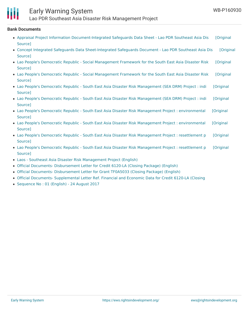

# Early Warning System

Lao PDR Southeast Asia Disaster Risk Management Project

#### **Bank Documents**

- Appraisal Project Information [Document-Integrated](https://ewsdata.rightsindevelopment.org/files/documents/30/WB-P160930.pdf) Safeguards Data Sheet Lao PDR Southeast Asia Dis [Original Source]
- Concept Integrated Safeguards Data [Sheet-Integrated](https://ewsdata.rightsindevelopment.org/files/documents/30/WB-P160930_XElALxz.pdf) Safeguards Document Lao PDR Southeast Asia Dis [Original Source]
- Lao People's Democratic Republic Social [Management](https://ewsdata.rightsindevelopment.org/files/documents/30/WB-P160930_ukngOKs.pdf) Framework for the South East Asia Disaster Risk [Original Source]
- Lao People's Democratic Republic Social [Management](https://ewsdata.rightsindevelopment.org/files/documents/30/WB-P160930_6zXnIFt.pdf) Framework for the South East Asia Disaster Risk [Original **Source**]
- Lao People's Democratic Republic South East Asia Disaster Risk [Management](https://ewsdata.rightsindevelopment.org/files/documents/30/WB-P160930_0rUJVf2.pdf) (SEA DRM) Project : indi [Original Source]
- Lao People's Democratic Republic South East Asia Disaster Risk [Management](https://ewsdata.rightsindevelopment.org/files/documents/30/WB-P160930_SgOkBjj.pdf) (SEA DRM) Project : indi [Original Source]
- Lao People's Democratic Republic South East Asia Disaster Risk Management Project : [environmental](https://ewsdata.rightsindevelopment.org/files/documents/30/WB-P160930_Mz4WTxY.pdf) [Original Source]
- Lao People's Democratic Republic South East Asia Disaster Risk Management Project : [environmental](https://ewsdata.rightsindevelopment.org/files/documents/30/WB-P160930_PzxIh7r.pdf) [Original Source]
- Lao People's Democratic Republic South East Asia Disaster Risk [Management](https://ewsdata.rightsindevelopment.org/files/documents/30/WB-P160930_OTwjwrD.pdf) Project : resettlement p [Original Source]
- Lao People's Democratic Republic South East Asia Disaster Risk [Management](https://ewsdata.rightsindevelopment.org/files/documents/30/WB-P160930_SWwHeVE.pdf) Project : resettlement p [Original Source]
- Laos Southeast Asia Disaster Risk [Management](http://documents.worldbank.org/curated/en/633891499565763147/Laos-Southeast-Asia-Disaster-Risk-Management-Project) Project (English)
- Official Documents- [Disbursement](http://documents.worldbank.org/curated/en/961441507661009467/Official-Documents-Disbursement-Letter-for-Credit-6120-LA-Closing-Package) Letter for Credit 6120-LA (Closing Package) (English)
- Official Documents- [Disbursement](http://documents.worldbank.org/curated/en/192411507661685879/Official-Documents-Disbursement-Letter-for-Grant-TF0A5033-Closing-Package) Letter for Grant TF0A5033 (Closing Package) (English)
- Official Documents- [Supplemental](http://documents.worldbank.org/curated/en/256291507661829948/Official-Documents-Supplemental-Letter-Ref-Financial-and-Economic-Data-for-Credit-6120-LA-Closing-Package) Letter Ref. Financial and Economic Data for Credit 6120-LA (Closing
- [Sequence](http://documents.worldbank.org/curated/en/365071503536779718/Disclosable-Version-of-the-ISR-Lao-PDR-Southeast-Asia-Disaster-Risk-Management-Project-P160930-Sequence-No-01) No : 01 (English) 24 August 2017